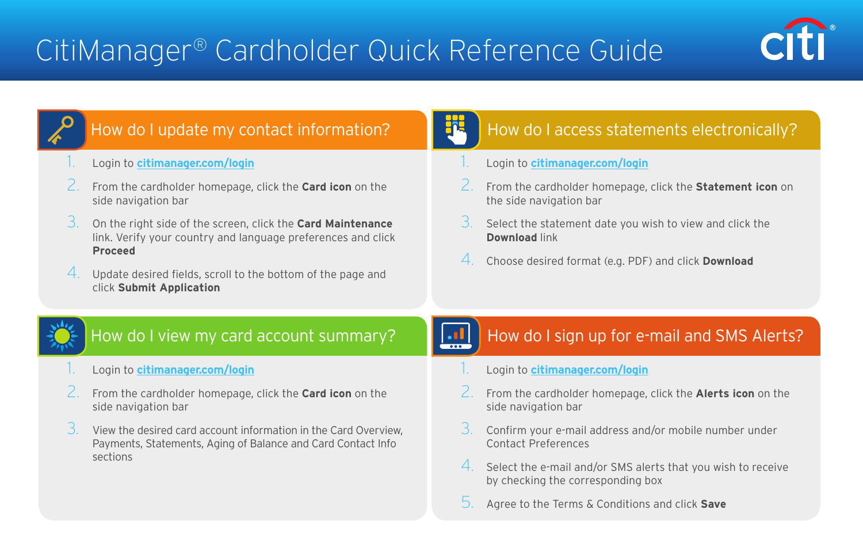

# How do I update my contact information?

#### 1. Login to **[citimanager.com/login](http://www.citimanager.com/login)**

- 2. From the cardholder homepage, click the **Card icon** on the side navigation bar
- 3. On the right side of the screen, click the **Card Maintenance** link. Verify your country and language preferences and click **Proceed**
- Update desired fields, scroll to the bottom of the page and click **Submit Application**

## How do I access statements electronically?

- 1. Login to **[citimanager.com/login](http://www.citimanager.com/login)**
- 2. From the cardholder homepage, click the **Statement icon** on the side navigation bar
- 3. Select the statement date you wish to view and click the **Download** link
- 4. Choose desired format (e.g. PDF) and click **Download**

## How do I view my card account summary?

- 1. Login to **[citimanager.com/login](http://www.citimanager.com/login)**
- 2. From the cardholder homepage, click the **Card icon** on the side navigation bar
- 3. View the desired card account information in the Card Overview, Payments, Statements, Aging of Balance and Card Contact Info sections

### How do I sign up for e-mail and SMS Alerts?

- 1. Login to **[citimanager.com/login](http://www.citimanager.com/login)**
- 2. From the cardholder homepage, click the **Alerts icon** on the side navigation bar
- 3. Confirm your e-mail address and/or mobile number under Contact Preferences
- 4. Select the e-mail and/or SMS alerts that you wish to receive by checking the corresponding box
- 5. Agree to the Terms & Conditions and click **Save**